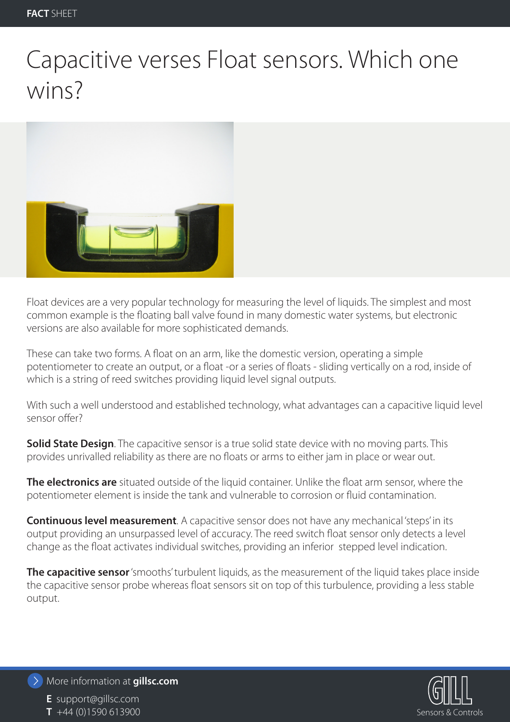## Capacitive verses Float sensors. Which one wins?



Float devices are a very popular technology for measuring the level of liquids. The simplest and most common example is the floating ball valve found in many domestic water systems, but electronic versions are also available for more sophisticated demands.

These can take two forms. A float on an arm, like the domestic version, operating a simple potentiometer to create an output, or a float -or a series of floats - sliding vertically on a rod, inside of which is a string of reed switches providing liquid level signal outputs.

With such a well understood and established technology, what advantages can a capacitive liquid level sensor offer?

**Solid State Design**. The capacitive sensor is a true solid state device with no moving parts. This provides unrivalled reliability as there are no floats or arms to either jam in place or wear out.

**The electronics are** situated outside of the liquid container. Unlike the float arm sensor, where the potentiometer element is inside the tank and vulnerable to corrosion or fluid contamination.

**Continuous level measurement**. A capacitive sensor does not have any mechanical 'steps' in its output providing an unsurpassed level of accuracy. The reed switch float sensor only detects a level change as the float activates individual switches, providing an inferior stepped level indication.

**The capacitive sensor** 'smooths' turbulent liquids, as the measurement of the liquid takes place inside the capacitive sensor probe whereas float sensors sit on top of this turbulence, providing a less stable output.



More information at **gillsc.com**

**E** support@gillsc.com **T** +44 (0)1590 613900 Sensors & Controls